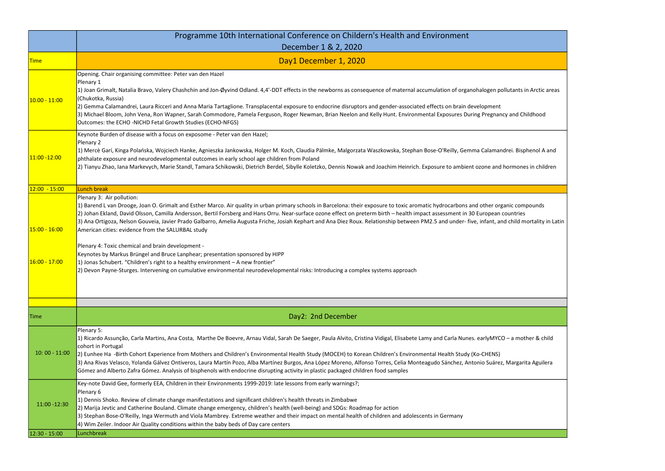

|                                                          | Programme 10th International Conference on Childern's Health and Environment                                                                                                                                                                                                                                                                                                                                                                                                                                                                                                                                                                                                                                                                                                                                                                                                                                                                                                                                         |  |  |
|----------------------------------------------------------|----------------------------------------------------------------------------------------------------------------------------------------------------------------------------------------------------------------------------------------------------------------------------------------------------------------------------------------------------------------------------------------------------------------------------------------------------------------------------------------------------------------------------------------------------------------------------------------------------------------------------------------------------------------------------------------------------------------------------------------------------------------------------------------------------------------------------------------------------------------------------------------------------------------------------------------------------------------------------------------------------------------------|--|--|
|                                                          | December 1 & 2, 2020                                                                                                                                                                                                                                                                                                                                                                                                                                                                                                                                                                                                                                                                                                                                                                                                                                                                                                                                                                                                 |  |  |
| <b>Time</b>                                              | Day1 December 1, 2020                                                                                                                                                                                                                                                                                                                                                                                                                                                                                                                                                                                                                                                                                                                                                                                                                                                                                                                                                                                                |  |  |
| $10.00 - 11:00$                                          | Opening. Chair organising committee: Peter van den Hazel<br>Plenary 1<br>1) Joan Grimalt, Natalia Bravo, Valery Chashchin and Jon-Øyvind Odland. 4,4'-DDT effects in the newborns as consequence of maternal accumulation of organohalogen pollutants in Arctic<br>(Chukotka, Russia)<br>2) Gemma Calamandrei, Laura Ricceri and Anna Maria Tartaglione. Transplacental exposure to endocrine disruptors and gender-associated effects on brain development<br>3) Michael Bloom, John Vena, Ron Wapner, Sarah Commodore, Pamela Ferguson, Roger Newman, Brian Neelon and Kelly Hunt. Environmental Exposures During Pregnancy and Childhooc<br>Outcomes: the ECHO -NICHD Fetal Growth Studies (ECHO-NFGS)                                                                                                                                                                                                                                                                                                            |  |  |
| 11:00 -12:00                                             | Keynote Burden of disease with a focus on exposome - Peter van den Hazel;<br>Plenary 2<br>1) Mercè Garí, Kinga Polańska, Wojciech Hanke, Agnieszka Jankowska, Holger M. Koch, Claudia Pälmke, Malgorzata Waszkowska, Stephan Bose-O'Reilly, Gemma Calamandrei. Bisphenol A<br>phthalate exposure and neurodevelopmental outcomes in early school age children from Poland<br>2) Tianyu Zhao, Iana Markevych, Marie Standl, Tamara Schikowski, Dietrich Berdel, Sibylle Koletzko, Dennis Nowak and Joachim Heinrich. Exposure to ambient ozone and hormones in chil                                                                                                                                                                                                                                                                                                                                                                                                                                                   |  |  |
| $12:00 - 15:00$                                          | <b>Lunch break</b>                                                                                                                                                                                                                                                                                                                                                                                                                                                                                                                                                                                                                                                                                                                                                                                                                                                                                                                                                                                                   |  |  |
| <mark>15:00 - 16:00</mark><br><mark>16:00 - 17:00</mark> | Plenary 3: Air pollution:<br>1) Barend L van Drooge, Joan O. Grimalt and Esther Marco. Air quality in urban primary schools in Barcelona: their exposure to toxic aromatic hydrocarbons and other organic compounds<br>2) Johan Ekland, David Olsson, Camilla Andersson, Bertil Forsberg and Hans Orru. Near-surface ozone effect on preterm birth - health impact assessment in 30 European countries<br>3) Ana Ortigoza, Nelson Gouveia, Javier Prado Galbarro, Amelia Augusta Friche, Josiah Kephart and Ana Diez Roux. Relationship between PM2.5 and under- five, infant, and child mortality<br>American cities: evidence from the SALURBAL study<br>Plenary 4: Toxic chemical and brain development -<br>Keynotes by Markus Brüngel and Bruce Lanphear; presentation sponsored by HIPP<br>1) Jonas Schubert. "Children's right to a healthy environment - A new frontier"<br>2) Devon Payne-Sturges. Intervening on cumulative environmental neurodevelopmental risks: Introducing a complex systems approach |  |  |
| <b>Time</b>                                              | Day2: 2nd December                                                                                                                                                                                                                                                                                                                                                                                                                                                                                                                                                                                                                                                                                                                                                                                                                                                                                                                                                                                                   |  |  |
| $10:00 - 11:00$                                          | Plenary 5:<br>1) Ricardo Assunção, Carla Martins, Ana Costa, Marthe De Boevre, Arnau Vidal, Sarah De Saeger, Paula Alvito, Cristina Vidigal, Elisabete Lamy and Carla Nunes. earlyMYCO – a mother & c<br>cohort in Portugal<br>(2) Eunhee Ha -Birth Cohort Experience from Mothers and Children's Environmental Health Study (MOCEH) to Korean Children's Environmental Health Study (Ko-CHENS)<br>3) Ana Rivas Velasco, Yolanda Gálvez Ontiveros, Laura Martín Pozo, Alba Martínez Burgos, Ana López Moreno, Alfonso Torres, Celia Monteagudo Sánchez, Antonio Suárez, Margarita Aguil<br>Gómez and Alberto Zafra Gómez. Analysis of bisphenols with endocrine disrupting activity in plastic packaged children food samples                                                                                                                                                                                                                                                                                        |  |  |
| 11:00 -12:30                                             | Key-note David Gee, formerly EEA, Children in their Environments 1999-2019: late lessons from early warnings?;<br>Plenary 6<br>1) Dennis Shoko. Review of climate change manifestations and significant children's health threats in Zimbabwe<br>2) Marija Jevtic and Catherine Bouland. Climate change emergency, children's health (well-being) and SDGs: Roadmap for action<br>3) Stephan Bose-O'Reilly, Inga Wermuth and Viola Mambrey. Extreme weather and their impact on mental health of children and adolescents in Germany<br>4) Wim Zeiler. Indoor Air Quality conditions within the baby beds of Day care centers                                                                                                                                                                                                                                                                                                                                                                                        |  |  |
| 12:30 - 15:00                                            | Lunchbreak                                                                                                                                                                                                                                                                                                                                                                                                                                                                                                                                                                                                                                                                                                                                                                                                                                                                                                                                                                                                           |  |  |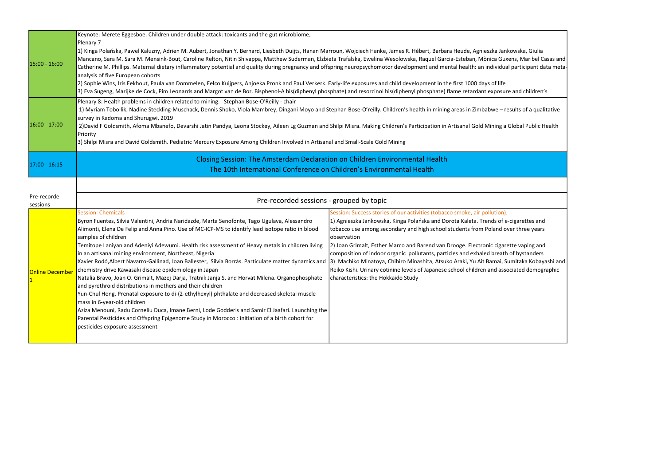| 15:00 - 16:00           | Keynote: Merete Eggesboe. Children under double attack: toxicants and the gut microbiome;<br>Plenary 7<br>1) Kinga Polańska, Pawel Kaluzny, Adrien M. Aubert, Jonathan Y. Bernard, Liesbeth Duijts, Hanan Marroun, Wojciech Hanke, James R. Hébert, Barbara Heude, Agnieszka Jankowska, Giulia<br>Mancano, Sara M. Sara M. Mensink-Bout, Caroline Relton, Nitin Shivappa, Matthew Suderman, Elzbieta Trafalska, Ewelina Wesolowska, Raquel Garcia-Esteban, Mònica Guxens, Maribel C<br>Catherine M. Phillips. Maternal dietary inflammatory potential and quality during pregnancy and offspring neuropsychomotor development and mental health: an individual participant da<br>analysis of five European cohorts<br>2) Sophie Wins, Iris Eekhout, Paula van Dommelen, Eelco Kuijpers, Anjoeka Pronk and Paul Verkerk. Early-life exposures and child development in the first 1000 days of life<br>3) Eva Sugeng, Marijke de Cock, Pim Leonards and Margot van de Bor. Bisphenol-A bis(diphenyl phosphate) and resorcinol bis(diphenyl phosphate) flame retardant exposure and children                                                                                                                         |                                                                                                                                                                                                                                                                                                                                                                                                                                                                                                                                                                                        |  |
|-------------------------|-------------------------------------------------------------------------------------------------------------------------------------------------------------------------------------------------------------------------------------------------------------------------------------------------------------------------------------------------------------------------------------------------------------------------------------------------------------------------------------------------------------------------------------------------------------------------------------------------------------------------------------------------------------------------------------------------------------------------------------------------------------------------------------------------------------------------------------------------------------------------------------------------------------------------------------------------------------------------------------------------------------------------------------------------------------------------------------------------------------------------------------------------------------------------------------------------------------------|----------------------------------------------------------------------------------------------------------------------------------------------------------------------------------------------------------------------------------------------------------------------------------------------------------------------------------------------------------------------------------------------------------------------------------------------------------------------------------------------------------------------------------------------------------------------------------------|--|
| $16:00 - 17:00$         | Plenary 8: Health problems in children related to mining. Stephan Bose-O'Reilly - chair<br>1) Myriam Tobollik, Nadine Steckling-Muschack, Dennis Shoko, Viola Mambrey, Dingani Moyo and Stephan Bose-O'reilly. Children's health in mining areas in Zimbabwe - results of a qual<br>survey in Kadoma and Shurugwi, 2019<br>2) David F Goldsmith, Afoma Mbanefo, Devarshi Jatin Pandya, Leona Stockey, Aileen Lg Guzman and Shilpi Misra. Making Children's Participation in Artisanal Gold Mining a Global Public F<br><b>Priority</b><br>3) Shilpi Misra and David Goldsmith. Pediatric Mercury Exposure Among Children Involved in Artisanal and Small-Scale Gold Mining                                                                                                                                                                                                                                                                                                                                                                                                                                                                                                                                        |                                                                                                                                                                                                                                                                                                                                                                                                                                                                                                                                                                                        |  |
| 17:00 - 16:15           | Closing Session: The Amsterdam Declaration on Children Environmental Health<br>The 10th International Conference on Children's Environmental Health                                                                                                                                                                                                                                                                                                                                                                                                                                                                                                                                                                                                                                                                                                                                                                                                                                                                                                                                                                                                                                                               |                                                                                                                                                                                                                                                                                                                                                                                                                                                                                                                                                                                        |  |
| Pre-recorde<br>sessions | Pre-recorded sessions - grouped by topic                                                                                                                                                                                                                                                                                                                                                                                                                                                                                                                                                                                                                                                                                                                                                                                                                                                                                                                                                                                                                                                                                                                                                                          |                                                                                                                                                                                                                                                                                                                                                                                                                                                                                                                                                                                        |  |
| Online December         | <b>Session: Chemicals</b><br>Byron Fuentes, Silvia Valentini, Andria Naridazde, Marta Senofonte, Tago Ugulava, Alessandro<br>Alimonti, Elena De Felip and Anna Pino. Use of MC-ICP-MS to identify lead isotope ratio in blood<br>samples of children<br>Temitope Laniyan and Adeniyi Adewumi. Health risk assessment of Heavy metals in children living<br>in an artisanal mining environment, Northeast, Nigeria<br>Xavier Rodó,Albert Navarro-Gallinad, Joan Ballester, Sílvia Borràs. Particulate matter dynamics and [3) Machiko Minatoya, Chihiro Minashita, Atsuko Araki, Yu Ait Bamai, Sumitaka Kobay<br>chemistry drive Kawasaki disease epidemiology in Japan<br>Natalia Bravo, Joan O. Grimalt, Mazej Darja, Tratnik Janja S. and Horvat Milena. Organophosphate<br>and pyrethroid distributions in mothers and their children<br>Yun-Chul Hong. Prenatal exposure to di-(2-ethylhexyl) phthalate and decreased skeletal muscle<br>mass in 6-year-old children<br>Aziza Menouni, Radu Corneliu Duca, Imane Berni, Lode Godderis and Samir El Jaafari. Launching the<br>Parental Pesticides and Offspring Epigenome Study in Morocco: initiation of a birth cohort for<br>pesticides exposure assessment | Session: Success stories of our activities (tobacco smoke, air pollution);<br>1) Agnieszka Jankowska, Kinga Polańska and Dorota Kaleta. Trends of e-cigarettes and<br>tobacco use among secondary and high school students from Poland over three years<br>observation<br>2) Joan Grimalt, Esther Marco and Barend van Drooge. Electronic cigarette vaping and<br>composition of indoor organic pollutants, particles and exhaled breath of bystanders<br>Reiko Kishi. Urinary cotinine levels of Japanese school children and associated demog<br>characteristics: the Hokkaido Study |  |

iuxens, Maribel Casas and lual participant data meta-

sure and children's

- results of a qualitative

a Global Public Health

f e-cigarettes and I over three years

arette vaping and ath of bystanders , Sumitaka Kobayashi and  $\vert$ ssociated demographic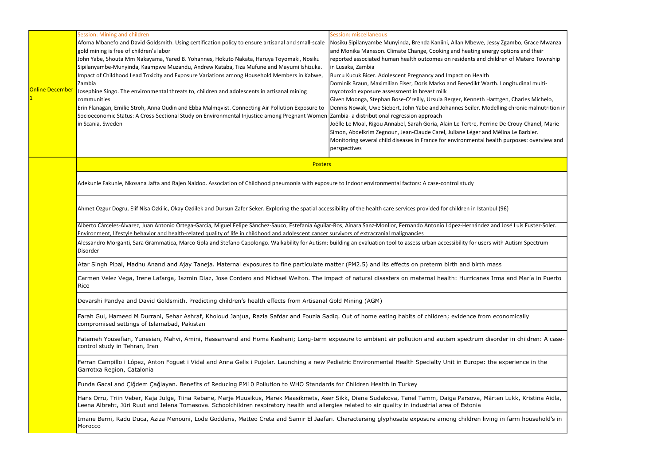| Online Decembe | Session: Mining and children<br>Afoma Mbanefo and David Goldsmith. Using certification policy to ensure artisanal and small-scale<br>gold mining is free of children's labor<br>John Yabe, Shouta Mm Nakayama, Yared B. Yohannes, Hokuto Nakata, Haruya Toyomaki, Nosiku<br>Sipilanyambe-Munyinda, Kaampwe Muzandu, Andrew Kataba, Tiza Mufune and Mayumi Ishizuka.<br>Impact of Childhood Lead Toxicity and Exposure Variations among Household Members in Kabwe,<br>Zambia<br>Josephine Singo. The environmental threats to, children and adolescents in artisanal mining<br>communities<br>Erin Flanagan, Emilie Stroh, Anna Oudin and Ebba Malmqvist. Connecting Air Pollution Exposure to<br>Socioeconomic Status: A Cross-Sectional Study on Environmental Injustice among Pregnant Women Zambia- a distributional regression approach<br>in Scania, Sweden | <b>Session: miscellaneous</b><br>Nosiku Sipilanyambe Munyinda, Brenda Kaniini, Allan Mbewe, Jessy Zgambo, Grace Mwanza<br>and Monika Mansson. Climate Change, Cooking and heating energy options and their<br>reported associated human health outcomes on residents and children of Matero Township<br>in Lusaka, Zambia<br>Burcu Kucuk Bicer. Adolescent Pregnancy and Impact on Health<br>Dominik Braun, Maximilian Eiser, Doris Marko and Benedikt Warth. Longitudinal multi-<br>mycotoxin exposure assessment in breast milk<br>Given Moonga, Stephan Bose-O'reilly, Ursula Berger, Kenneth Harttgen, Charles Michelo,<br>Dennis Nowak, Uwe Siebert, John Yabe and Johannes Seiler. Modelling chronic malnutrition in<br>Joëlle Le Moal, Rigou Annabel, Sarah Goria, Alain Le Tertre, Perrine De Crouy-Chanel, Marie<br>Simon, Abdelkrim Zegnoun, Jean-Claude Carel, Juliane Léger and Mélina Le Barbier.<br>Monitoring several child diseases in France for environmental health purposes: overview and<br>perspectives |  |  |  |
|----------------|-------------------------------------------------------------------------------------------------------------------------------------------------------------------------------------------------------------------------------------------------------------------------------------------------------------------------------------------------------------------------------------------------------------------------------------------------------------------------------------------------------------------------------------------------------------------------------------------------------------------------------------------------------------------------------------------------------------------------------------------------------------------------------------------------------------------------------------------------------------------|-------------------------------------------------------------------------------------------------------------------------------------------------------------------------------------------------------------------------------------------------------------------------------------------------------------------------------------------------------------------------------------------------------------------------------------------------------------------------------------------------------------------------------------------------------------------------------------------------------------------------------------------------------------------------------------------------------------------------------------------------------------------------------------------------------------------------------------------------------------------------------------------------------------------------------------------------------------------------------------------------------------------------------|--|--|--|
|                | <b>Posters</b><br>Adekunle Fakunle, Nkosana Jafta and Rajen Naidoo. Association of Childhood pneumonia with exposure to Indoor environmental factors: A case-control study<br>Ahmet Ozgur Dogru, Elif Nisa Ozkilic, Okay Ozdilek and Dursun Zafer Seker. Exploring the spatial accessibility of the health care services provided for children in Istanbul (96)<br>Alberto Cárceles-Álvarez, Juan Antonio Ortega-García, Miguel Felipe Sánchez-Sauco, Estefanía Aguilar-Ros, Ainara Sanz-Monllor, Fernando Antonio López-Hernández and José Luis Fuster-Soler.                                                                                                                                                                                                                                                                                                    |                                                                                                                                                                                                                                                                                                                                                                                                                                                                                                                                                                                                                                                                                                                                                                                                                                                                                                                                                                                                                               |  |  |  |
|                |                                                                                                                                                                                                                                                                                                                                                                                                                                                                                                                                                                                                                                                                                                                                                                                                                                                                   |                                                                                                                                                                                                                                                                                                                                                                                                                                                                                                                                                                                                                                                                                                                                                                                                                                                                                                                                                                                                                               |  |  |  |
|                |                                                                                                                                                                                                                                                                                                                                                                                                                                                                                                                                                                                                                                                                                                                                                                                                                                                                   |                                                                                                                                                                                                                                                                                                                                                                                                                                                                                                                                                                                                                                                                                                                                                                                                                                                                                                                                                                                                                               |  |  |  |
|                |                                                                                                                                                                                                                                                                                                                                                                                                                                                                                                                                                                                                                                                                                                                                                                                                                                                                   |                                                                                                                                                                                                                                                                                                                                                                                                                                                                                                                                                                                                                                                                                                                                                                                                                                                                                                                                                                                                                               |  |  |  |
|                | Environment, lifestyle behavior and health-related quality of life in childhood and adolescent cancer survivors of extracranial malignancies<br>Alessandro Morganti, Sara Grammatica, Marco Gola and Stefano Capolongo. Walkability for Autism: building an evaluation tool to assess urban accessibility for users with Autism Spectrum<br>Disorder<br>Atar Singh Pipal, Madhu Anand and Ajay Taneja. Maternal exposures to fine particulate matter (PM2.5) and its effects on preterm birth and birth mass<br>Carmen Velez Vega, Irene Lafarga, Jazmin Diaz, Jose Cordero and Michael Welton. The impact of natural disasters on maternal health: Hurricanes Irma and María in Puerto<br>Rico<br>Devarshi Pandya and David Goldsmith. Predicting children's health effects from Artisanal Gold Mining (AGM)                                                     |                                                                                                                                                                                                                                                                                                                                                                                                                                                                                                                                                                                                                                                                                                                                                                                                                                                                                                                                                                                                                               |  |  |  |
|                |                                                                                                                                                                                                                                                                                                                                                                                                                                                                                                                                                                                                                                                                                                                                                                                                                                                                   |                                                                                                                                                                                                                                                                                                                                                                                                                                                                                                                                                                                                                                                                                                                                                                                                                                                                                                                                                                                                                               |  |  |  |
|                |                                                                                                                                                                                                                                                                                                                                                                                                                                                                                                                                                                                                                                                                                                                                                                                                                                                                   |                                                                                                                                                                                                                                                                                                                                                                                                                                                                                                                                                                                                                                                                                                                                                                                                                                                                                                                                                                                                                               |  |  |  |
|                |                                                                                                                                                                                                                                                                                                                                                                                                                                                                                                                                                                                                                                                                                                                                                                                                                                                                   |                                                                                                                                                                                                                                                                                                                                                                                                                                                                                                                                                                                                                                                                                                                                                                                                                                                                                                                                                                                                                               |  |  |  |
|                | Farah Gul, Hameed M Durrani, Sehar Ashraf, Kholoud Janjua, Razia Safdar and Fouzia Sadiq. Out of home eating habits of children; evidence from economically<br>compromised settings of Islamabad, Pakistan<br>Fatemeh Yousefian, Yunesian, Mahvi, Amini, Hassanvand and Homa Kashani; Long-term exposure to ambient air pollution and autism spectrum disorder in children: A case-<br>control study in Tehran, Iran                                                                                                                                                                                                                                                                                                                                                                                                                                              |                                                                                                                                                                                                                                                                                                                                                                                                                                                                                                                                                                                                                                                                                                                                                                                                                                                                                                                                                                                                                               |  |  |  |
|                |                                                                                                                                                                                                                                                                                                                                                                                                                                                                                                                                                                                                                                                                                                                                                                                                                                                                   |                                                                                                                                                                                                                                                                                                                                                                                                                                                                                                                                                                                                                                                                                                                                                                                                                                                                                                                                                                                                                               |  |  |  |
|                | Ferran Campillo i López, Anton Foguet i Vidal and Anna Gelis i Pujolar. Launching a new Pediatric Environmental Health Specialty Unit in Europe: the experience in the<br>Garrotxa Region, Catalonia                                                                                                                                                                                                                                                                                                                                                                                                                                                                                                                                                                                                                                                              |                                                                                                                                                                                                                                                                                                                                                                                                                                                                                                                                                                                                                                                                                                                                                                                                                                                                                                                                                                                                                               |  |  |  |
|                | Funda Gacal and Çiğdem Çağlayan. Benefits of Reducing PM10 Pollution to WHO Standards for Children Health in Turkey                                                                                                                                                                                                                                                                                                                                                                                                                                                                                                                                                                                                                                                                                                                                               |                                                                                                                                                                                                                                                                                                                                                                                                                                                                                                                                                                                                                                                                                                                                                                                                                                                                                                                                                                                                                               |  |  |  |
|                | Hans Orru, Triin Veber, Kaja Julge, Tiina Rebane, Marje Muusikus, Marek Maasikmets, Aser Sikk, Diana Sudakova, Tanel Tamm, Daiga Parsova, Märten Lukk, Kristina Aidla,<br>Leena Albreht, Jüri Ruut and Jelena Tomasova. Schoolchildren respiratory health and allergies related to air quality in industrial area of Estonia                                                                                                                                                                                                                                                                                                                                                                                                                                                                                                                                      |                                                                                                                                                                                                                                                                                                                                                                                                                                                                                                                                                                                                                                                                                                                                                                                                                                                                                                                                                                                                                               |  |  |  |
|                | Imane Berni, Radu Duca, Aziza Menouni, Lode Godderis, Matteo Creta and Samir El Jaafari. Charactersing glyphosate exposure among children living in farm household's in<br>Morocco                                                                                                                                                                                                                                                                                                                                                                                                                                                                                                                                                                                                                                                                                |                                                                                                                                                                                                                                                                                                                                                                                                                                                                                                                                                                                                                                                                                                                                                                                                                                                                                                                                                                                                                               |  |  |  |

| Zgambo, Grace Mwanza<br>pptions and their<br>en of Matero Township |
|--------------------------------------------------------------------|
| ongitudinal multi-                                                 |
| en, Charles Michelo,<br>ng chronic malnutrition in                 |
| e Crouy-Chanel, Marie<br>ina Le Barbier.<br>purposes: overview and |
|                                                                    |
|                                                                    |
| )6)                                                                |
| José Luis Fuster-Soler.                                            |
| <b>Autism Spectrum</b>                                             |
|                                                                    |
| a and María in Puerto                                              |
|                                                                    |
| nomically                                                          |
| er in children: A case-                                            |
| xperience in the                                                   |
|                                                                    |
| ı Lukk, Kristina Aidla,                                            |
| n farm household's in                                              |